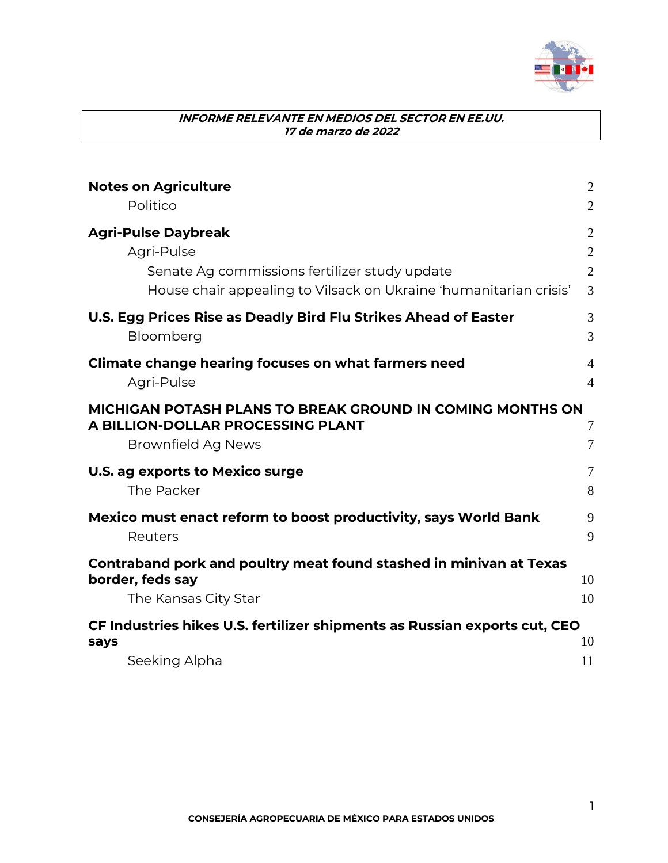

| <b>Notes on Agriculture</b>                                               | $\mathbf{2}$   |
|---------------------------------------------------------------------------|----------------|
| Politico                                                                  | $\overline{2}$ |
| <b>Agri-Pulse Daybreak</b>                                                | $\overline{2}$ |
| Agri-Pulse                                                                | $\overline{2}$ |
| Senate Ag commissions fertilizer study update                             | $\overline{2}$ |
| House chair appealing to Vilsack on Ukraine 'humanitarian crisis'         | 3              |
| U.S. Egg Prices Rise as Deadly Bird Flu Strikes Ahead of Easter           | 3              |
| Bloomberg                                                                 | 3              |
| Climate change hearing focuses on what farmers need                       | 4              |
| Agri-Pulse                                                                | $\overline{4}$ |
| <b>MICHIGAN POTASH PLANS TO BREAK GROUND IN COMING MONTHS ON</b>          |                |
| A BILLION-DOLLAR PROCESSING PLANT                                         | $\overline{7}$ |
| Brownfield Ag News                                                        | 7              |
| U.S. ag exports to Mexico surge                                           | $\overline{7}$ |
| The Packer                                                                | 8              |
| Mexico must enact reform to boost productivity, says World Bank           | 9              |
| Reuters                                                                   | 9              |
| Contraband pork and poultry meat found stashed in minivan at Texas        |                |
| border, feds say                                                          | 10             |
| The Kansas City Star                                                      | 10             |
| CF Industries hikes U.S. fertilizer shipments as Russian exports cut, CEO |                |
| says                                                                      | 10             |
| Seeking Alpha                                                             | 11             |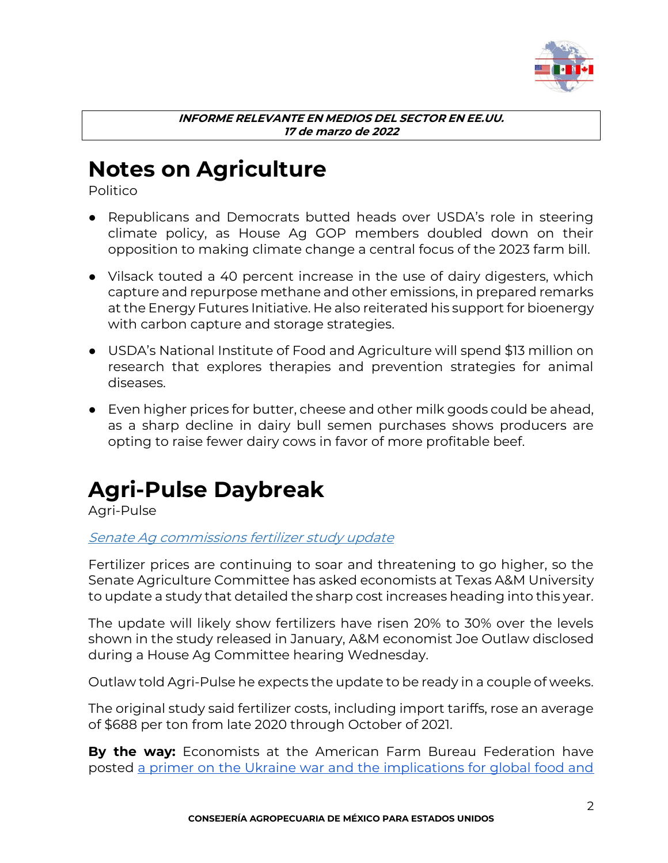

### <span id="page-1-0"></span>**Notes on Agriculture**

<span id="page-1-1"></span>Politico

- Republicans and Democrats butted heads over USDA's role in steering climate policy, as House Ag GOP members doubled down on their opposition to making climate change a central focus of the 2023 farm bill.
- Vilsack touted a 40 percent increase in the use of dairy digesters, which capture and repurpose methane and other emissions, in prepared remarks at the Energy Futures Initiative. He also reiterated his support for bioenergy with carbon capture and storage strategies.
- USDA's National Institute of Food and Agriculture will spend \$13 million on research that explores therapies and prevention strategies for animal diseases.
- Even higher prices for butter, cheese and other milk goods could be ahead, as a sharp decline in dairy bull semen purchases shows producers are opting to raise fewer dairy cows in favor of more profitable beef.

### <span id="page-1-2"></span>**Agri-Pulse Daybreak**

<span id="page-1-3"></span>Agri-Pulse

### <span id="page-1-4"></span>Senate Ag commissions fertilizer study update

Fertilizer prices are continuing to soar and threatening to go higher, so the Senate Agriculture Committee has asked economists at Texas A&M University to update a study that detailed the sharp cost increases heading into this year.

The update will likely show fertilizers have risen 20% to 30% over the levels shown in the study released in January, A&M economist Joe Outlaw disclosed during a House Ag Committee hearing Wednesday.

Outlaw told Agri-Pulse he expects the update to be ready in a couple of weeks.

The original study said fertilizer costs, including import tariffs, rose an average of \$688 per ton from late 2020 through October of 2021.

**By the way:** Economists at the American Farm Bureau Federation have posted [a primer on the Ukraine war and the implications for global food and](https://agri-pulse.us12.list-manage.com/track/click?u=f5a0aaec713d79bbd5f7ec87c&id=5bf05fa931&e=0387767c24)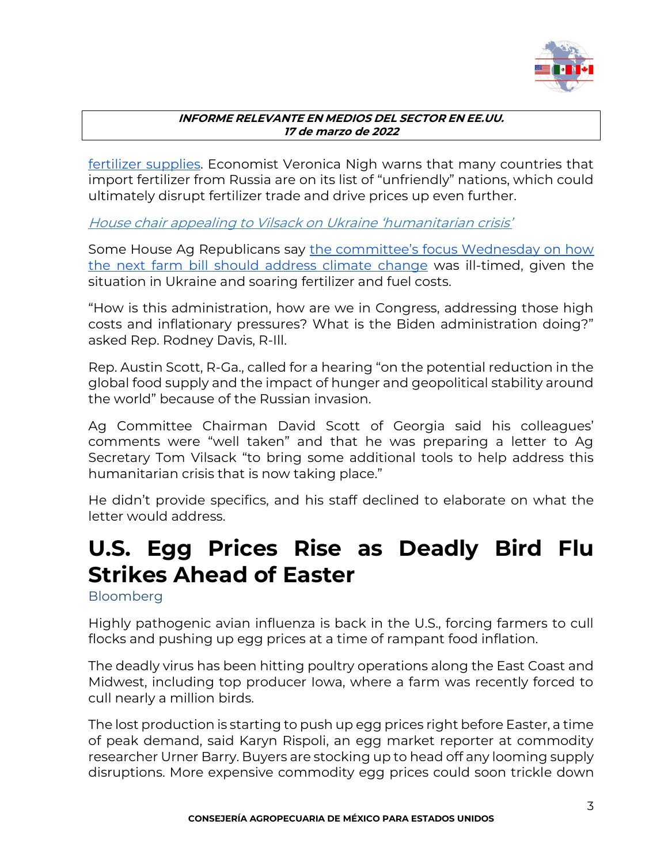

[fertilizer supplies.](https://agri-pulse.us12.list-manage.com/track/click?u=f5a0aaec713d79bbd5f7ec87c&id=5bf05fa931&e=0387767c24) Economist Veronica Nigh warns that many countries that import fertilizer from Russia are on its list of "unfriendly" nations, which could ultimately disrupt fertilizer trade and drive prices up even further.

<span id="page-2-0"></span>House chair appealing to Vilsack on Ukraine 'humanitarian crisis'

Some House Ag Republicans say [the committee's focus Wednesday on how](https://agri-pulse.us12.list-manage.com/track/click?u=f5a0aaec713d79bbd5f7ec87c&id=949dd46183&e=0387767c24)  [the next farm bill should address climate](https://agri-pulse.us12.list-manage.com/track/click?u=f5a0aaec713d79bbd5f7ec87c&id=949dd46183&e=0387767c24) change was ill-timed, given the situation in Ukraine and soaring fertilizer and fuel costs.

"How is this administration, how are we in Congress, addressing those high costs and inflationary pressures? What is the Biden administration doing?" asked Rep. Rodney Davis, R-Ill.

Rep. Austin Scott, R-Ga., called for a hearing "on the potential reduction in the global food supply and the impact of hunger and geopolitical stability around the world" because of the Russian invasion.

Ag Committee Chairman David Scott of Georgia said his colleagues' comments were "well taken" and that he was preparing a letter to Ag Secretary Tom Vilsack "to bring some additional tools to help address this humanitarian crisis that is now taking place."

He didn't provide specifics, and his staff declined to elaborate on what the letter would address.

# <span id="page-2-1"></span>**U.S. Egg Prices Rise as Deadly Bird Flu Strikes Ahead of Easter**

<span id="page-2-2"></span>**Bloomberg** 

Highly pathogenic avian influenza is back in the U.S., forcing farmers to cull flocks and pushing up egg prices at a time of rampant food inflation.

The deadly virus has been hitting poultry operations along the East Coast and Midwest, including top producer Iowa, where a farm was recently forced to cull nearly a million birds.

The lost production is starting to push up egg prices right before Easter, a time of peak demand, said Karyn Rispoli, an egg market reporter at commodity researcher Urner Barry. Buyers are stocking up to head off any looming supply disruptions. More expensive commodity egg prices could soon trickle down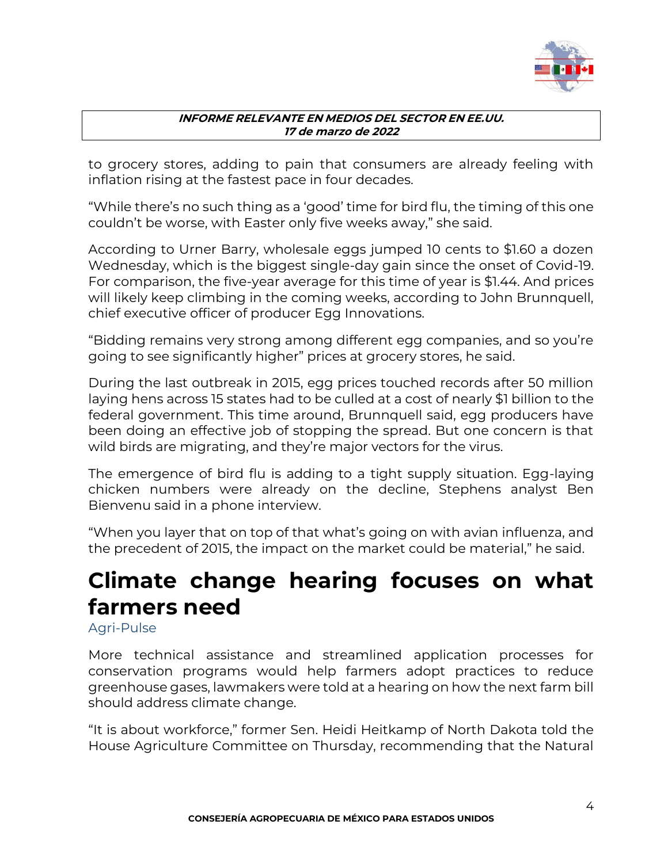

to grocery stores, adding to pain that consumers are already feeling with inflation rising at the fastest pace in four decades.

"While there's no such thing as a 'good' time for bird flu, the timing of this one couldn't be worse, with Easter only five weeks away," she said.

According to Urner Barry, wholesale eggs jumped 10 cents to \$1.60 a dozen Wednesday, which is the biggest single-day gain since the onset of Covid-19. For comparison, the five-year average for this time of year is \$1.44. And prices will likely keep climbing in the coming weeks, according to John Brunnquell, chief executive officer of producer Egg Innovations.

"Bidding remains very strong among different egg companies, and so you're going to see significantly higher" prices at grocery stores, he said.

During the last outbreak in 2015, egg prices touched records after 50 million laying hens across 15 states had to be culled at a cost of nearly \$1 billion to the federal government. This time around, Brunnquell said, egg producers have been doing an effective job of stopping the spread. But one concern is that wild birds are migrating, and they're major vectors for the virus.

The emergence of bird flu is adding to a tight supply situation. Egg-laying chicken numbers were already on the decline, Stephens analyst Ben Bienvenu said in a phone interview.

"When you layer that on top of that what's going on with avian influenza, and the precedent of 2015, the impact on the market could be material," he said.

# <span id="page-3-0"></span>**Climate change hearing focuses on what farmers need**

<span id="page-3-1"></span>Agri-Pulse

More technical assistance and streamlined application processes for conservation programs would help farmers adopt practices to reduce greenhouse gases, lawmakers were told at a hearing on how the next farm bill should address climate change.

"It is about workforce," former Sen. Heidi Heitkamp of North Dakota told the House Agriculture Committee on Thursday, recommending that the Natural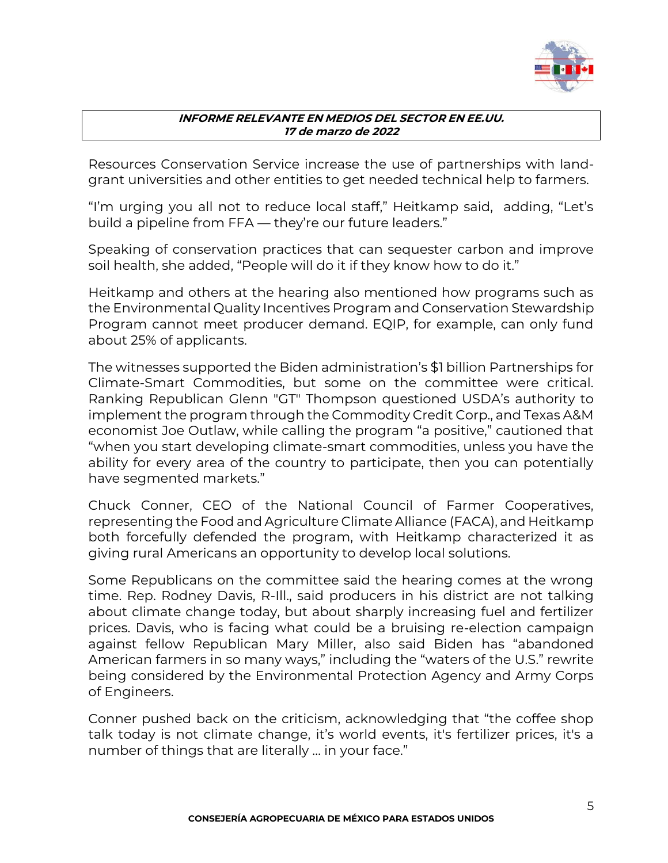

Resources Conservation Service increase the use of partnerships with landgrant universities and other entities to get needed technical help to farmers.

"I'm urging you all not to reduce local staff," Heitkamp said, adding, "Let's build a pipeline from FFA — they're our future leaders."

Speaking of conservation practices that can sequester carbon and improve soil health, she added, "People will do it if they know how to do it."

Heitkamp and others at the hearing also mentioned how programs such as the Environmental Quality Incentives Program and Conservation Stewardship Program cannot meet producer demand. EQIP, for example, can only fund about 25% of applicants.

The witnesses supported the Biden administration's \$1 billion Partnerships for Climate-Smart Commodities, but some on the committee were critical. Ranking Republican Glenn "GT" Thompson questioned USDA's authority to implement the program through the Commodity Credit Corp., and Texas A&M economist Joe Outlaw, while calling the program "a positive," cautioned that "when you start developing climate-smart commodities, unless you have the ability for every area of the country to participate, then you can potentially have segmented markets."

Chuck Conner, CEO of the National Council of Farmer Cooperatives, representing the Food and Agriculture Climate Alliance (FACA), and Heitkamp both forcefully defended the program, with Heitkamp characterized it as giving rural Americans an opportunity to develop local solutions.

Some Republicans on the committee said the hearing comes at the wrong time. Rep. Rodney Davis, R-Ill., said producers in his district are not talking about climate change today, but about sharply increasing fuel and fertilizer prices. Davis, who is facing what could be a bruising re-election campaign against fellow Republican Mary Miller, also said Biden has "abandoned American farmers in so many ways," including the "waters of the U.S." rewrite being considered by the Environmental Protection Agency and Army Corps of Engineers.

Conner pushed back on the criticism, acknowledging that "the coffee shop talk today is not climate change, it's world events, it's fertilizer prices, it's a number of things that are literally … in your face."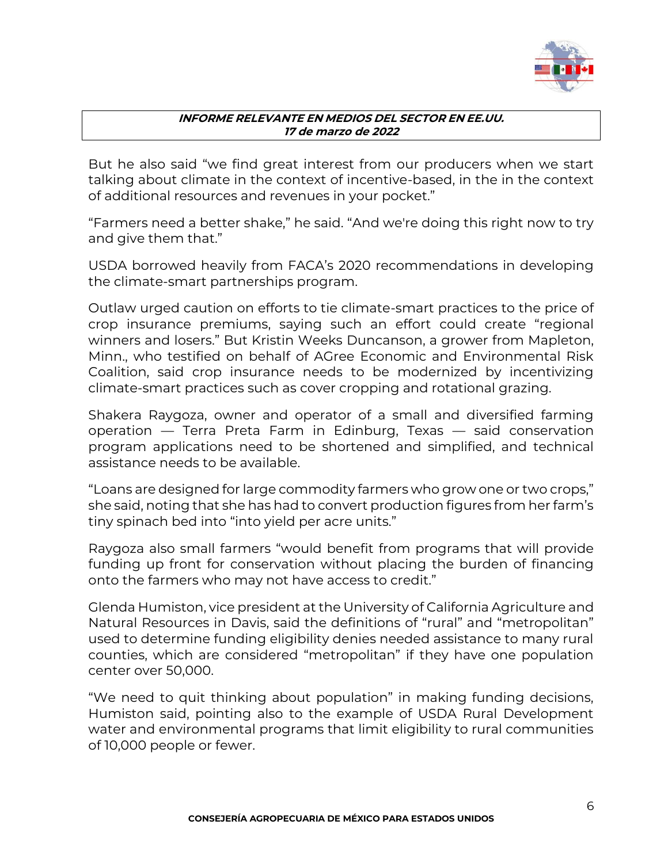

But he also said "we find great interest from our producers when we start talking about climate in the context of incentive-based, in the in the context of additional resources and revenues in your pocket."

"Farmers need a better shake," he said. "And we're doing this right now to try and give them that."

USDA borrowed heavily from FACA's 2020 recommendations in developing the climate-smart partnerships program.

Outlaw urged caution on efforts to tie climate-smart practices to the price of crop insurance premiums, saying such an effort could create "regional winners and losers." But Kristin Weeks Duncanson, a grower from Mapleton, Minn., who testified on behalf of AGree Economic and Environmental Risk Coalition, said crop insurance needs to be modernized by incentivizing climate-smart practices such as cover cropping and rotational grazing.

Shakera Raygoza, owner and operator of a small and diversified farming operation — Terra Preta Farm in Edinburg, Texas — said conservation program applications need to be shortened and simplified, and technical assistance needs to be available.

"Loans are designed for large commodity farmers who grow one or two crops," she said, noting that she has had to convert production figures from her farm's tiny spinach bed into "into yield per acre units."

Raygoza also small farmers "would benefit from programs that will provide funding up front for conservation without placing the burden of financing onto the farmers who may not have access to credit."

Glenda Humiston, vice president at the University of California Agriculture and Natural Resources in Davis, said the definitions of "rural" and "metropolitan" used to determine funding eligibility denies needed assistance to many rural counties, which are considered "metropolitan" if they have one population center over 50,000.

"We need to quit thinking about population" in making funding decisions, Humiston said, pointing also to the example of USDA Rural Development water and environmental programs that limit eligibility to rural communities of 10,000 people or fewer.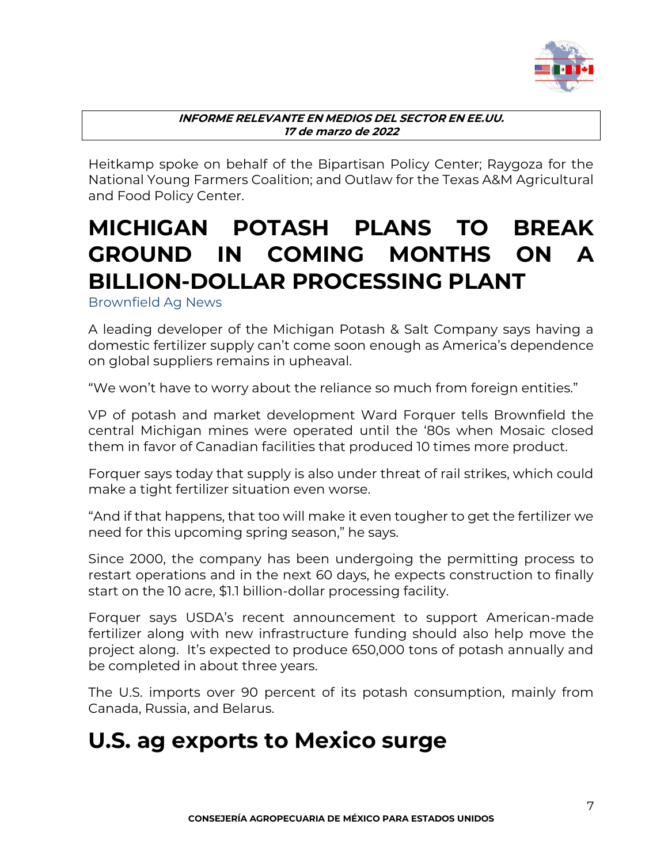

Heitkamp spoke on behalf of the Bipartisan Policy Center; Raygoza for the National Young Farmers Coalition; and Outlaw for the Texas A&M Agricultural and Food Policy Center.

# <span id="page-6-0"></span>**MICHIGAN POTASH PLANS TO BREAK GROUND IN COMING MONTHS ON A BILLION-DOLLAR PROCESSING PLANT**

<span id="page-6-1"></span>Brownfield Ag News

A leading developer of the Michigan Potash & Salt Company says having a domestic fertilizer supply can't come soon enough as America's dependence on global suppliers remains in upheaval.

"We won't have to worry about the reliance so much from foreign entities."

VP of potash and market development Ward Forquer tells Brownfield the central Michigan mines were operated until the '80s when Mosaic closed them in favor of Canadian facilities that produced 10 times more product.

Forquer says today that supply is also under threat of rail strikes, which could make a tight fertilizer situation even worse.

"And if that happens, that too will make it even tougher to get the fertilizer we need for this upcoming spring season," he says.

[Since 2000, the company has been undergoing the permitting process to](https://mipotash.com/)  [restart operations and in the next 60 days, he expects construction to finally](https://mipotash.com/)  [start on the 10 acre, \\$1.1 billion-dollar processing facility.](https://mipotash.com/)

Forquer says USDA's recent announcement to support American-made fertilizer along with new infrastructure funding should also help move the project along. It's expected to produce 650,000 tons of potash annually and be completed in about three years.

The U.S. imports over 90 percent of its potash consumption, mainly from Canada, Russia, and Belarus.

### <span id="page-6-2"></span>**U.S. ag exports to Mexico surge**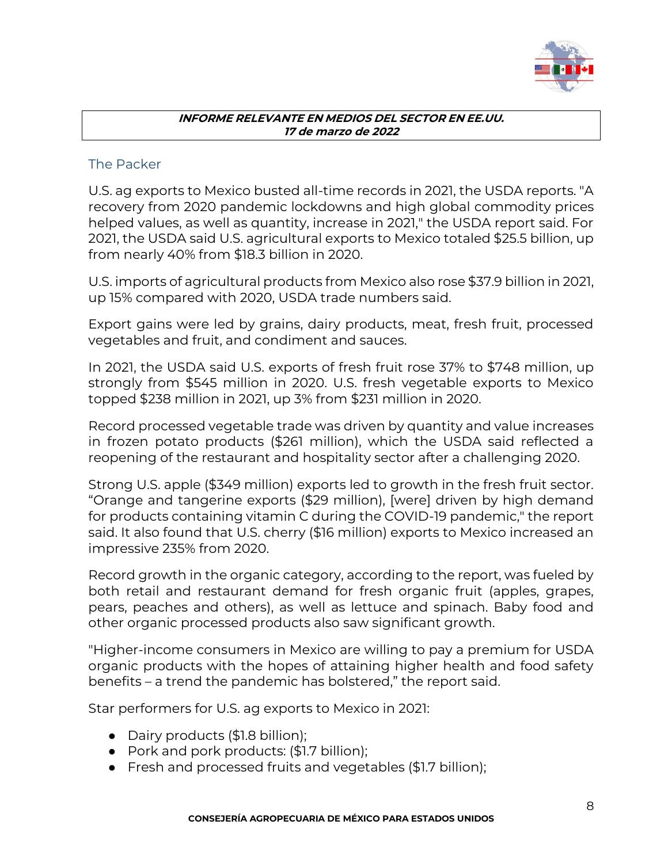

### <span id="page-7-0"></span>The Packer

U.S. ag exports to Mexico busted all-time records in 2021, the USDA reports. "A recovery from 2020 pandemic lockdowns and high global commodity prices helped values, as well as quantity, increase in 2021," the USDA report said. For 2021, the USDA said U.S. agricultural exports to Mexico totaled \$25.5 billion, up from nearly 40% from \$18.3 billion in 2020.

U.S. imports of agricultural products from Mexico also rose \$37.9 billion in 2021, up 15% compared with 2020, USDA trade numbers said.

Export gains were led by grains, dairy products, meat, fresh fruit, processed vegetables and fruit, and condiment and sauces.

In 2021, the USDA said U.S. exports of fresh fruit rose 37% to \$748 million, up strongly from \$545 million in 2020. U.S. fresh vegetable exports to Mexico topped \$238 million in 2021, up 3% from \$231 million in 2020.

Record processed vegetable trade was driven by quantity and value increases in frozen potato products (\$261 million), which the USDA said reflected a reopening of the restaurant and hospitality sector after a challenging 2020.

Strong U.S. apple (\$349 million) exports led to growth in the fresh fruit sector. "Orange and tangerine exports (\$29 million), [were] driven by high demand for products containing vitamin C during the COVID-19 pandemic," the report said. It also found that U.S. cherry (\$16 million) exports to Mexico increased an impressive 235% from 2020.

Record growth in the organic category, according to the report, was fueled by both retail and restaurant demand for fresh organic fruit (apples, grapes, pears, peaches and others), as well as lettuce and spinach. Baby food and other organic processed products also saw significant growth.

"Higher-income consumers in Mexico are willing to pay a premium for USDA organic products with the hopes of attaining higher health and food safety benefits – a trend the pandemic has bolstered," the report said.

Star performers for U.S. ag exports to Mexico in 2021:

- Dairy products (\$1.8 billion);
- Pork and pork products: (\$1.7 billion);
- Fresh and processed fruits and vegetables (\$1.7 billion);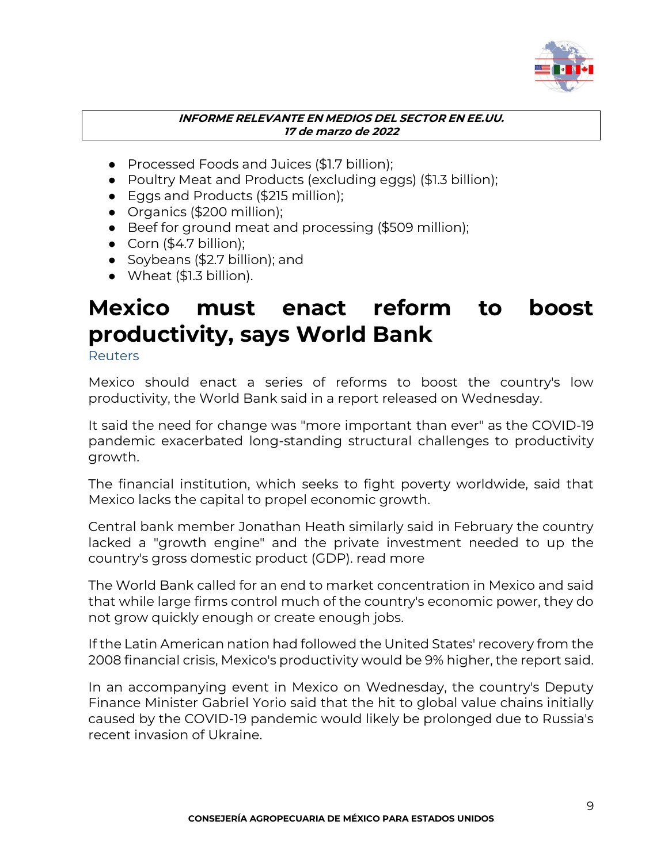

- Processed Foods and Juices (\$1.7 billion);
- Poultry Meat and Products (excluding eggs) (\$1.3 billion);
- Eggs and Products (\$215 million);
- Organics (\$200 million);
- Beef for ground meat and processing (\$509 million);
- $\bullet$  Corn (\$4.7 billion):
- Soybeans (\$2.7 billion); and
- Wheat (\$1.3 billion).

### <span id="page-8-0"></span>**Mexico must enact reform to boost productivity, says World Bank**

<span id="page-8-1"></span>**Reuters** 

Mexico should enact a series of reforms to boost the country's low productivity, the World Bank said in a report released on Wednesday.

It said the need for change was "more important than ever" as the COVID-19 pandemic exacerbated long-standing structural challenges to productivity growth.

The financial institution, which seeks to fight poverty worldwide, said that Mexico lacks the capital to propel economic growth.

Central bank member Jonathan Heath similarly said in February the country lacked a "growth engine" and the private investment needed to up the country's gross domestic product (GDP). read more

The World Bank called for an end to market concentration in Mexico and said that while large firms control much of the country's economic power, they do not grow quickly enough or create enough jobs.

If the Latin American nation had followed the United States' recovery from the 2008 financial crisis, Mexico's productivity would be 9% higher, the report said.

In an accompanying event in Mexico on Wednesday, the country's Deputy Finance Minister Gabriel Yorio said that the hit to global value chains initially caused by the COVID-19 pandemic would likely be prolonged due to Russia's recent invasion of Ukraine.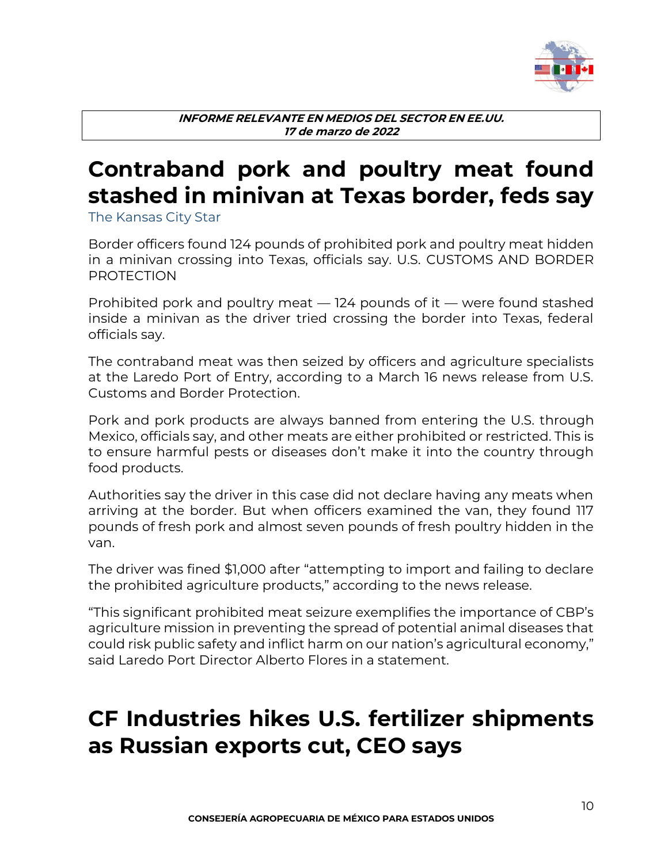

# <span id="page-9-0"></span>**Contraband pork and poultry meat found stashed in minivan at Texas border, feds say**

<span id="page-9-1"></span>The Kansas City Star

Border officers found 124 pounds of prohibited pork and poultry meat hidden in a minivan crossing into Texas, officials say. U.S. CUSTOMS AND BORDER PROTECTION

Prohibited pork and poultry meat — 124 pounds of it — were found stashed inside a minivan as the driver tried crossing the border into Texas, federal officials say.

The [contraband meat was then seized](https://www.cbp.gov/newsroom/local-media-release/cbp-officers-agriculture-specialists-seize-124-pounds-prohibited-fresh) by officers and agriculture specialists at the Laredo Port of Entry, according to a March 16 news release from U.S. Customs and Border Protection.

Pork and pork products are always [banned from entering the U.S.](https://help.cbp.gov/s/article/Article-3619?language=en_US#:~:text=Food%20products%20should%20be%20commercially,them%20into%20the%20United%20States.) through Mexico, officials say, and other meats are either prohibited or restricted. This is to ensure [harmful pests or diseases](https://www.dontpackapest.com/) don't make it into the country through food products.

Authorities say the driver in this case did not declare having any meats when arriving at the border. But when officers examined the van, they found 117 pounds of fresh pork and almost seven pounds of fresh poultry hidden in the van.

The driver was fined \$1,000 after "attempting to import and failing to declare the prohibited agriculture products," according to the news release.

"This significant prohibited meat seizure exemplifies the importance of CBP's agriculture mission in preventing the spread of potential animal diseases that could risk public safety and inflict harm on our nation's agricultural economy," said Laredo Port Director Alberto Flores in a statement.

### <span id="page-9-2"></span>**CF Industries hikes U.S. fertilizer shipments as Russian exports cut, CEO says**